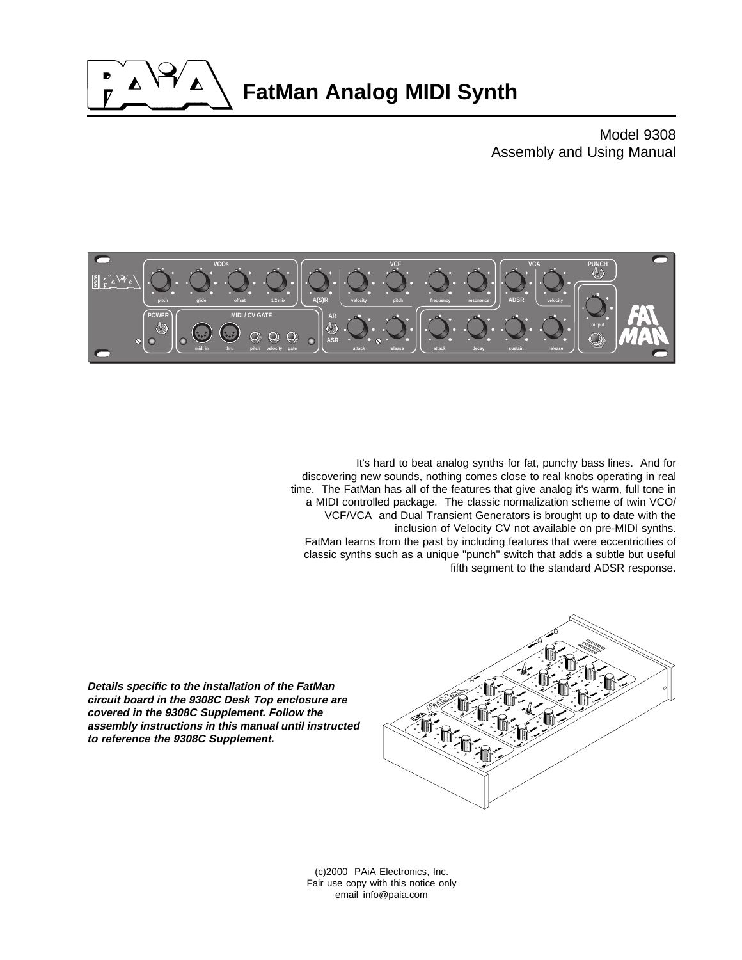

Model 9308 Assembly and Using Manual



It's hard to beat analog synths for fat, punchy bass lines. And for discovering new sounds, nothing comes close to real knobs operating in real time. The FatMan has all of the features that give analog it's warm, full tone in a MIDI controlled package. The classic normalization scheme of twin VCO/ VCF/VCA and Dual Transient Generators is brought up to date with the inclusion of Velocity CV not available on pre-MIDI synths. FatMan learns from the past by including features that were eccentricities of classic synths such as a unique "punch" switch that adds a subtle but useful fifth segment to the standard ADSR response.

**Details specific to the installation of the FatMan circuit board in the 9308C Desk Top enclosure are covered in the 9308C Supplement. Follow the assembly instructions in this manual until instructed to reference the 9308C Supplement.**



(c)2000 PAiA Electronics, Inc. Fair use copy with this notice only email info@paia.com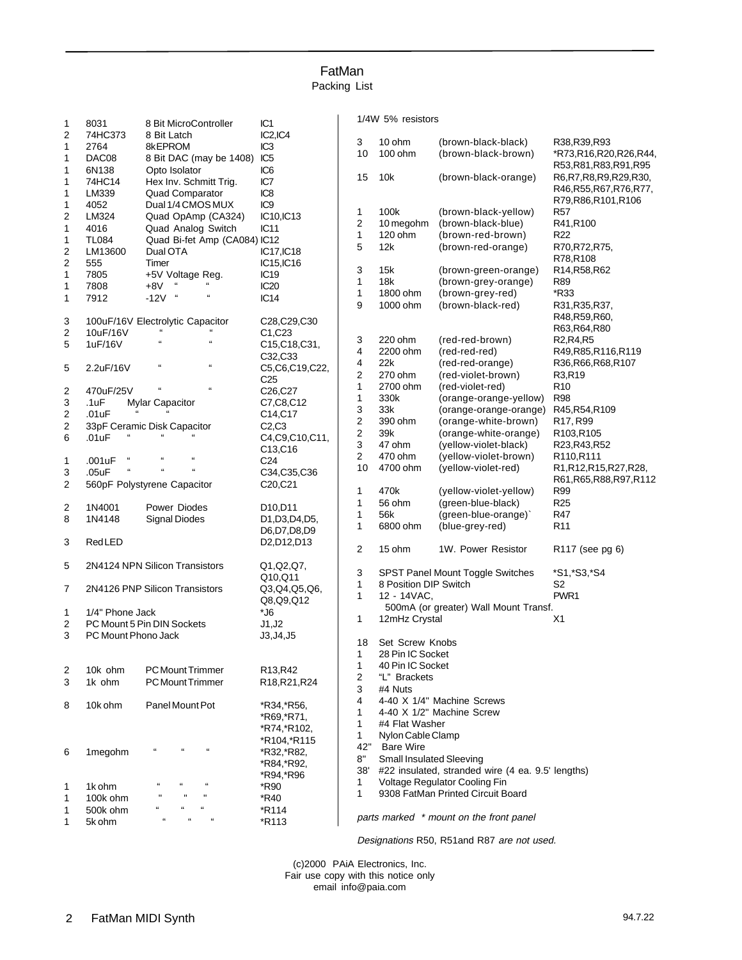# FatMan Packing List

| 1                       | IC <sub>1</sub><br>8031<br>8 Bit MicroController |                                                                | 1/4W 5% resistors                                  |                         |                                 |                                                   |                                                |
|-------------------------|--------------------------------------------------|----------------------------------------------------------------|----------------------------------------------------|-------------------------|---------------------------------|---------------------------------------------------|------------------------------------------------|
| 2                       | 74HC373                                          | 8 Bit Latch                                                    | IC2,IC4                                            |                         |                                 |                                                   |                                                |
|                         |                                                  |                                                                |                                                    | 3                       | 10 ohm                          | (brown-black-black)                               | R38, R39, R93                                  |
| 1                       | 2764                                             | 8kEPROM                                                        | IC <sub>3</sub>                                    | 10                      | 100 ohm                         | (brown-black-brown)                               | *R73,R16,R20,R26,R44,                          |
| $\mathbf{1}$            | DAC08                                            | 8 Bit DAC (may be 1408)                                        | IC <sub>5</sub>                                    |                         |                                 |                                                   | R53, R81, R83, R91, R95                        |
| 1                       | 6N138                                            | Opto Isolator                                                  | IC <sub>6</sub>                                    | 15                      | 10k                             | (brown-black-orange)                              | R6, R7, R8, R9, R29, R30,                      |
| 1                       | 74HC14                                           | Hex Inv. Schmitt Trig.                                         | IC7                                                |                         |                                 |                                                   | R46, R55, R67, R76, R77,                       |
| 1                       | LM339                                            | Quad Comparator                                                | IC <sub>8</sub>                                    |                         |                                 |                                                   | R79, R86, R101, R106                           |
| 1                       | 4052                                             | Dual 1/4 CMOS MUX                                              | IC <sub>9</sub>                                    |                         |                                 |                                                   |                                                |
| 2                       | LM324                                            | Quad OpAmp (CA324)                                             | IC10, IC13                                         | 1                       | 100k                            | (brown-black-yellow)                              | <b>R57</b>                                     |
| 1                       | 4016                                             | Quad Analog Switch                                             | IC11                                               | $\boldsymbol{2}$        | 10 megohm                       | (brown-black-blue)                                | R41,R100                                       |
| $\mathbf{1}$            | <b>TL084</b>                                     | Quad Bi-fet Amp (CA084) IC12                                   |                                                    | 1                       | 120 ohm                         | (brown-red-brown)                                 | R <sub>22</sub>                                |
| 2                       | LM13600                                          | Dual OTA                                                       | IC17, IC18                                         | 5                       | 12k                             | (brown-red-orange)                                | R70, R72, R75,                                 |
| $\overline{\mathbf{c}}$ | 555                                              | Timer                                                          | IC15, IC16                                         |                         |                                 |                                                   | R78,R108                                       |
|                         |                                                  |                                                                |                                                    | 3                       | 15k                             | (brown-green-orange)                              | R14, R58, R62                                  |
| 1                       | 7805                                             | +5V Voltage Reg.                                               | IC <sub>19</sub>                                   | 1                       | 18k                             | (brown-grey-orange)                               | R89                                            |
| 1                       | 7808                                             | $+8V$<br>$\epsilon$                                            | IC <sub>20</sub>                                   | $\mathbf{1}$            | 1800 ohm                        | (brown-grey-red)                                  | *R33                                           |
| 1                       | 7912                                             | £<br>$\epsilon$<br>$-12V$                                      | IC14                                               | 9                       | 1000 ohm                        | (brown-black-red)                                 |                                                |
|                         |                                                  |                                                                |                                                    |                         |                                 |                                                   | R31, R35, R37,                                 |
| 3                       |                                                  | 100uF/16V Electrolytic Capacitor                               | C28,C29,C30                                        |                         |                                 |                                                   | R48, R59, R60,                                 |
| $\overline{\mathbf{c}}$ | 10uF/16V                                         | $\alpha$<br>$\alpha$                                           | C1, C23                                            |                         |                                 |                                                   | R63, R64, R80                                  |
| 5                       | 1uF/16V                                          | $\alpha$                                                       | C15, C18, C31,                                     | 3                       | 220 ohm                         | (red-red-brown)                                   | R <sub>2</sub> ,R <sub>4</sub> ,R <sub>5</sub> |
|                         |                                                  |                                                                | C32,C33                                            | 4                       | 2200 ohm                        | (red-red-red)                                     | R49, R85, R116, R119                           |
| 5                       | 2.2uF/16V                                        | $\mathbf{a}$<br>$\Omega$                                       | C5.C6.C19.C22.                                     | 4                       | 22k                             | (red-red-orange)                                  | R36, R66, R68, R107                            |
|                         |                                                  |                                                                |                                                    | 2                       | 270 ohm                         | (red-violet-brown)                                | R3,R19                                         |
|                         |                                                  | $\Omega$<br>$\mathbf{a}$                                       | C <sub>25</sub>                                    | $\mathbf{1}$            | 2700 ohm                        | (red-violet-red)                                  | R <sub>10</sub>                                |
| 2                       | 470uF/25V                                        |                                                                | C26,C27                                            | $\mathbf{1}$            | 330k                            | (orange-orange-yellow)                            | <b>R98</b>                                     |
| 3                       | .1uF                                             | Mylar Capacitor                                                | C7, C8, C12                                        | 3                       | 33k                             | (orange-orange-orange)                            | R45, R54, R109                                 |
| $\overline{\mathbf{c}}$ | .01uF                                            |                                                                | C14, C17                                           |                         |                                 | (orange-white-brown)                              |                                                |
| $\overline{\mathbf{c}}$ |                                                  | 33pF Ceramic Disk Capacitor                                    | C2.C3                                              | $\overline{\mathbf{c}}$ | 390 ohm                         |                                                   | R17, R99                                       |
| 6                       | .01uF                                            |                                                                | C4, C9, C10, C11,                                  | $\boldsymbol{2}$        | 39k                             | (orange-white-orange)                             | R103,R105                                      |
|                         |                                                  |                                                                | C13,C16                                            | 3                       | 47 ohm                          | (yellow-violet-black)                             | R23, R43, R52                                  |
| $\mathbf{1}$            | $\epsilon$<br>.001uF                             | $\alpha$<br>$\Omega$                                           | C <sub>24</sub>                                    | $\overline{c}$          | 470 ohm                         | (yellow-violet-brown)                             | R110,R111                                      |
| 3                       | $\mathfrak{c}\mathfrak{c}$<br>.05uF              | $\alpha$<br>$\mathfrak{g}$                                     | C34,C35,C36                                        | 10                      | 4700 ohm                        | (yellow-violet-red)                               | R1,R12,R15,R27,R28,                            |
| 2                       |                                                  |                                                                | C20,C21                                            |                         |                                 |                                                   | R61, R65, R88, R97, R112                       |
|                         |                                                  | 560pF Polystyrene Capacitor                                    |                                                    | $\mathbf{1}$            | 470k                            | (yellow-violet-yellow)                            | R99                                            |
|                         |                                                  |                                                                |                                                    | 1                       | 56 ohm                          | (green-blue-black)                                | R <sub>25</sub>                                |
| $\overline{\mathbf{c}}$ | 1N4001                                           | Power Diodes                                                   | D <sub>10</sub> , D <sub>11</sub>                  | 1                       | 56k                             | (green-blue-orange)`                              | <b>R47</b>                                     |
| 8                       | 1N4148                                           | <b>Signal Diodes</b>                                           | D1, D3, D4, D5,                                    | 1                       | 6800 ohm                        | (blue-grey-red)                                   | R <sub>11</sub>                                |
|                         |                                                  |                                                                | D6,D7,D8,D9                                        |                         |                                 |                                                   |                                                |
| 3                       | RedLED                                           |                                                                | D <sub>2</sub> , D <sub>12</sub> , D <sub>13</sub> |                         |                                 |                                                   |                                                |
|                         |                                                  |                                                                |                                                    | 2                       | 15 ohm                          | 1W. Power Resistor                                | R <sub>117</sub> (see pg 6)                    |
| 5                       |                                                  | 2N4124 NPN Silicon Transistors                                 | Q1, Q2, Q7,                                        |                         |                                 |                                                   |                                                |
|                         |                                                  |                                                                | Q10,Q11                                            | 3                       |                                 | SPST Panel Mount Toggle Switches                  | *S1, *S3, *S4                                  |
| 7                       |                                                  | 2N4126 PNP Silicon Transistors                                 | Q3,Q4,Q5,Q6,                                       | 1                       | 8 Position DIP Switch           |                                                   | S2                                             |
|                         |                                                  |                                                                |                                                    | 1                       | 12 - 14VAC.                     |                                                   | PWR1                                           |
|                         |                                                  |                                                                | Q8,Q9,Q12                                          |                         |                                 | 500mA (or greater) Wall Mount Transf.             |                                                |
| $\mathbf{1}$            | 1/4" Phone Jack                                  |                                                                | $^*$ J6                                            | 1                       | 12mHz Crystal                   |                                                   | X1                                             |
| 2                       |                                                  | PC Mount 5 Pin DIN Sockets                                     | J1, J2                                             |                         |                                 |                                                   |                                                |
| 3                       | PC Mount Phono Jack                              |                                                                | J3, J4, J5<br>18                                   |                         | Set Screw Knobs                 |                                                   |                                                |
|                         |                                                  |                                                                |                                                    |                         | 28 Pin IC Socket                |                                                   |                                                |
|                         |                                                  |                                                                |                                                    | $\mathbf{1}$            |                                 |                                                   |                                                |
| 2                       | 10k ohm                                          | <b>PC Mount Trimmer</b>                                        | R13,R42                                            | 1                       | 40 Pin IC Socket                |                                                   |                                                |
| 3                       | 1k ohm                                           | PC Mount Trimmer                                               | R18, R21, R24                                      | 2                       | "L" Brackets                    |                                                   |                                                |
|                         |                                                  |                                                                |                                                    | 3                       | #4 Nuts                         |                                                   |                                                |
| 8                       | 10k ohm                                          | Panel Mount Pot                                                | *R34,*R56,                                         | 4                       |                                 | 4-40 X 1/4" Machine Screws                        |                                                |
|                         |                                                  |                                                                |                                                    | 1                       |                                 | 4-40 X 1/2" Machine Screw                         |                                                |
|                         |                                                  |                                                                | *R69, *R71,                                        | 1                       | #4 Flat Washer                  |                                                   |                                                |
|                         |                                                  |                                                                | *R74, *R102,                                       | 1                       | Nylon Cable Clamp               |                                                   |                                                |
|                         |                                                  |                                                                | *R104,*R115                                        | 42"                     | <b>Bare Wire</b>                |                                                   |                                                |
| 6                       | 1megohm                                          | $\alpha$<br>$\mathfrak{c}\mathfrak{c}$<br>$\mathbf{G}$         | *R32,*R82,                                         |                         |                                 |                                                   |                                                |
|                         |                                                  |                                                                | *R84, *R92,                                        | $8\mathrm{''}$          | <b>Small Insulated Sleeving</b> |                                                   |                                                |
|                         |                                                  |                                                                | *R94,*R96                                          | 38'                     |                                 | #22 insulated, stranded wire (4 ea. 9.5' lengths) |                                                |
| 1                       | 1k ohm                                           | $\mathfrak{c}\mathfrak{c}$                                     | *R90                                               | 1                       |                                 | Voltage Regulator Cooling Fin                     |                                                |
| 1                       | 100k ohm                                         | $\mathbf{H}$                                                   | *R40                                               | 1                       |                                 | 9308 FatMan Printed Circuit Board                 |                                                |
|                         |                                                  | $\mathfrak{c}\mathfrak{c}$                                     |                                                    |                         |                                 |                                                   |                                                |
| 1                       | 500k ohm                                         | $\mathfrak{c}\mathfrak{c}$<br>$\mathfrak{c}\mathfrak{c}$<br>66 | *R114                                              |                         |                                 | parts marked * mount on the front panel           |                                                |
| $\mathbf{1}$            | 5k ohm                                           |                                                                | *R113                                              |                         |                                 |                                                   |                                                |

Designations R50, R51and R87 are not used.

(c)2000 PAiA Electronics, Inc. Fair use copy with this notice only email info@paia.com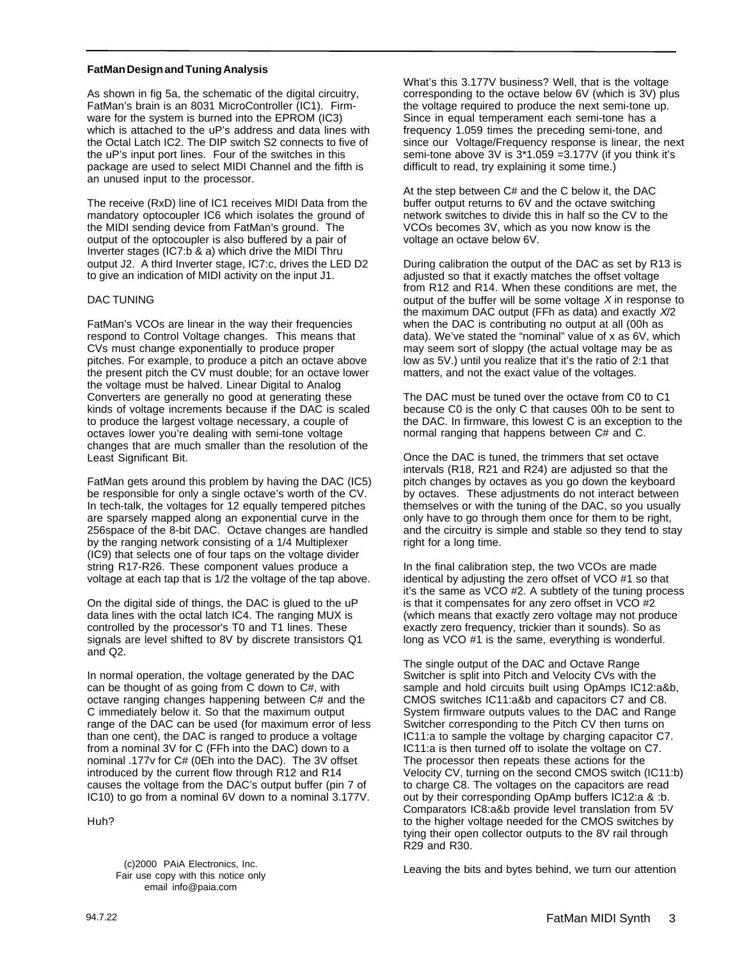### **FatMan Design and Tuning Analysis**

As shown in fig 5a, the schematic of the digital circuitry, FatMan's brain is an 8031 MicroController (IC1). Firmware for the system is burned into the EPROM (IC3) which is attached to the uP's address and data lines with the Octal Latch IC2. The DIP switch S2 connects to five of the uP's input port lines. Four of the switches in this package are used to select MIDI Channel and the fifth is an unused input to the processor.

The receive (RxD) line of IC1 receives MIDI Data from the mandatory optocoupler IC6 which isolates the ground of the MIDI sending device from FatMan's ground. The output of the optocoupler is also buffered by a pair of Inverter stages (IC7:b & a) which drive the MIDI Thru output J2. A third Inverter stage, IC7:c, drives the LED D2 to give an indication of MIDI activity on the input J1.

### DAC TUNING

FatMan's VCOs are linear in the way their frequencies respond to Control Voltage changes. This means that CVs must change exponentially to produce proper pitches. For example, to produce a pitch an octave above the present pitch the CV must double; for an octave lower the voltage must be halved. Linear Digital to Analog Converters are generally no good at generating these kinds of voltage increments because if the DAC is scaled to produce the largest voltage necessary, a couple of octaves lower you're dealing with semi-tone voltage changes that are much smaller than the resolution of the Least Significant Bit.

FatMan gets around this problem by having the DAC (IC5) be responsible for only a single octave's worth of the CV. In tech-talk, the voltages for 12 equally tempered pitches are sparsely mapped along an exponential curve in the 256space of the 8-bit DAC. Octave changes are handled by the ranging network consisting of a 1/4 Multiplexer (IC9) that selects one of four taps on the voltage divider string R17-R26. These component values produce a voltage at each tap that is 1/2 the voltage of the tap above.

On the digital side of things, the DAC is glued to the uP data lines with the octal latch IC4. The ranging MUX is controlled by the processor's T0 and T1 lines. These signals are level shifted to 8V by discrete transistors Q1 and Q2.

In normal operation, the voltage generated by the DAC can be thought of as going from C down to C#, with octave ranging changes happening between C# and the C immediately below it. So that the maximum output range of the DAC can be used (for maximum error of less than one cent), the DAC is ranged to produce a voltage from a nominal 3V for C (FFh into the DAC) down to a nominal .177v for C# (0Eh into the DAC). The 3V offset introduced by the current flow through R12 and R14 causes the voltage from the DAC's output buffer (pin 7 of IC10) to go from a nominal 6V down to a nominal 3.177V.

Huh?

Fair use copy with this notice only email info@paia.com

What's this 3.177V business? Well, that is the voltage corresponding to the octave below 6V (which is 3V) plus the voltage required to produce the next semi-tone up. Since in equal temperament each semi-tone has a frequency 1.059 times the preceding semi-tone, and since our Voltage/Frequency response is linear, the next semi-tone above 3V is 3\*1.059 =3.177V (if you think it's difficult to read, try explaining it some time.)

At the step between C# and the C below it, the DAC buffer output returns to 6V and the octave switching network switches to divide this in half so the CV to the VCOs becomes 3V, which as you now know is the voltage an octave below 6V.

During calibration the output of the DAC as set by R13 is adjusted so that it exactly matches the offset voltage from R12 and R14. When these conditions are met, the output of the buffer will be some voltage  $X$  in response to the maximum DAC output (FFh as data) and exactly  $X/2$ when the DAC is contributing no output at all (00h as data). We've stated the "nominal" value of x as 6V, which may seem sort of sloppy (the actual voltage may be as low as 5V.) until you realize that it's the ratio of 2:1 that matters, and not the exact value of the voltages.

The DAC must be tuned over the octave from C0 to C1 because C0 is the only C that causes 00h to be sent to the DAC. In firmware, this lowest C is an exception to the normal ranging that happens between C# and C.

Once the DAC is tuned, the trimmers that set octave intervals (R18, R21 and R24) are adjusted so that the pitch changes by octaves as you go down the keyboard by octaves. These adjustments do not interact between themselves or with the tuning of the DAC, so you usually only have to go through them once for them to be right, and the circuitry is simple and stable so they tend to stay right for a long time.

In the final calibration step, the two VCOs are made identical by adjusting the zero offset of VCO #1 so that it's the same as VCO #2. A subtlety of the tuning process is that it compensates for any zero offset in VCO #2 (which means that exactly zero voltage may not produce exactly zero frequency, trickier than it sounds). So as long as VCO #1 is the same, everything is wonderful.

The single output of the DAC and Octave Range Switcher is split into Pitch and Velocity CVs with the sample and hold circuits built using OpAmps IC12:a&b, CMOS switches IC11:a&b and capacitors C7 and C8. System firmware outputs values to the DAC and Range Switcher corresponding to the Pitch CV then turns on IC11:a to sample the voltage by charging capacitor C7. IC11:a is then turned off to isolate the voltage on C7. The processor then repeats these actions for the Velocity CV, turning on the second CMOS switch (IC11:b) to charge C8. The voltages on the capacitors are read out by their corresponding OpAmp buffers IC12:a & :b. Comparators IC8:a&b provide level translation from 5V to the higher voltage needed for the CMOS switches by tying their open collector outputs to the 8V rail through R29 and R30.

Leaving the bits and bytes behind, we turn our attention (c)2000 PAiA Electronics, Inc.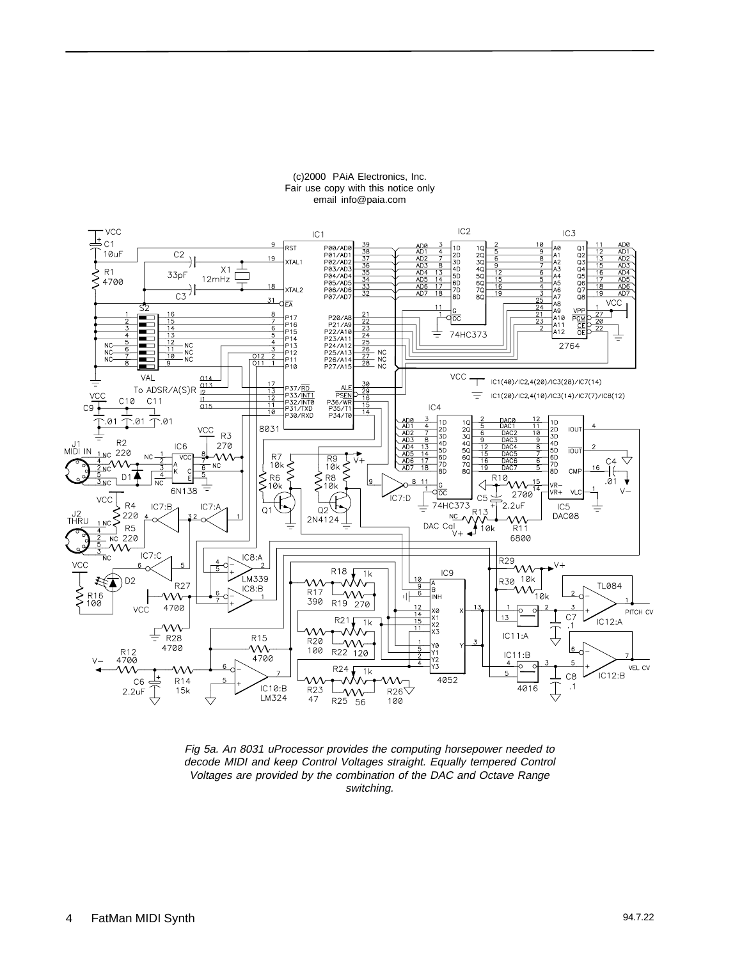

#### (c)2000 PAiA Electronics, Inc. Fair use copy with this notice only email info@paia.com

Fig 5a. An 8031 uProcessor provides the computing horsepower needed to decode MIDI and keep Control Voltages straight. Equally tempered Control Voltages are provided by the combination of the DAC and Octave Range switching.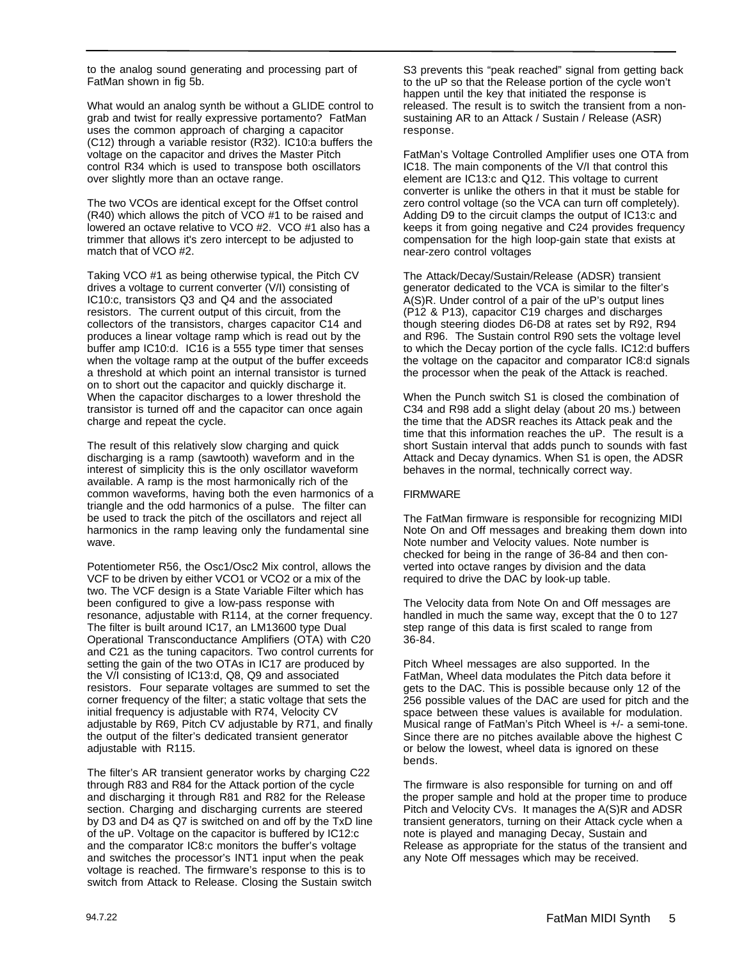to the analog sound generating and processing part of FatMan shown in fig 5b.

What would an analog synth be without a GLIDE control to grab and twist for really expressive portamento? FatMan uses the common approach of charging a capacitor (C12) through a variable resistor (R32). IC10:a buffers the voltage on the capacitor and drives the Master Pitch control R34 which is used to transpose both oscillators over slightly more than an octave range.

The two VCOs are identical except for the Offset control (R40) which allows the pitch of VCO #1 to be raised and lowered an octave relative to VCO #2. VCO #1 also has a trimmer that allows it's zero intercept to be adjusted to match that of VCO #2.

Taking VCO #1 as being otherwise typical, the Pitch CV drives a voltage to current converter (V/I) consisting of IC10:c, transistors Q3 and Q4 and the associated resistors. The current output of this circuit, from the collectors of the transistors, charges capacitor C14 and produces a linear voltage ramp which is read out by the buffer amp IC10:d. IC16 is a 555 type timer that senses when the voltage ramp at the output of the buffer exceeds a threshold at which point an internal transistor is turned on to short out the capacitor and quickly discharge it. When the capacitor discharges to a lower threshold the transistor is turned off and the capacitor can once again charge and repeat the cycle.

The result of this relatively slow charging and quick discharging is a ramp (sawtooth) waveform and in the interest of simplicity this is the only oscillator waveform available. A ramp is the most harmonically rich of the common waveforms, having both the even harmonics of a triangle and the odd harmonics of a pulse. The filter can be used to track the pitch of the oscillators and reject all harmonics in the ramp leaving only the fundamental sine wave.

Potentiometer R56, the Osc1/Osc2 Mix control, allows the VCF to be driven by either VCO1 or VCO2 or a mix of the two. The VCF design is a State Variable Filter which has been configured to give a low-pass response with resonance, adjustable with R114, at the corner frequency. The filter is built around IC17, an LM13600 type Dual Operational Transconductance Amplifiers (OTA) with C20 and C21 as the tuning capacitors. Two control currents for setting the gain of the two OTAs in IC17 are produced by the V/I consisting of IC13:d, Q8, Q9 and associated resistors. Four separate voltages are summed to set the corner frequency of the filter; a static voltage that sets the initial frequency is adjustable with R74, Velocity CV adjustable by R69, Pitch CV adjustable by R71, and finally the output of the filter's dedicated transient generator adjustable with R115.

The filter's AR transient generator works by charging C22 through R83 and R84 for the Attack portion of the cycle and discharging it through R81 and R82 for the Release section. Charging and discharging currents are steered by D3 and D4 as Q7 is switched on and off by the TxD line of the uP. Voltage on the capacitor is buffered by IC12:c and the comparator IC8:c monitors the buffer's voltage and switches the processor's INT1 input when the peak voltage is reached. The firmware's response to this is to switch from Attack to Release. Closing the Sustain switch

S3 prevents this "peak reached" signal from getting back to the uP so that the Release portion of the cycle won't happen until the key that initiated the response is released. The result is to switch the transient from a nonsustaining AR to an Attack / Sustain / Release (ASR) response.

FatMan's Voltage Controlled Amplifier uses one OTA from IC18. The main components of the V/I that control this element are IC13:c and Q12. This voltage to current converter is unlike the others in that it must be stable for zero control voltage (so the VCA can turn off completely). Adding D9 to the circuit clamps the output of IC13:c and keeps it from going negative and C24 provides frequency compensation for the high loop-gain state that exists at near-zero control voltages

The Attack/Decay/Sustain/Release (ADSR) transient generator dedicated to the VCA is similar to the filter's A(S)R. Under control of a pair of the uP's output lines (P12 & P13), capacitor C19 charges and discharges though steering diodes D6-D8 at rates set by R92, R94 and R96. The Sustain control R90 sets the voltage level to which the Decay portion of the cycle falls. IC12:d buffers the voltage on the capacitor and comparator IC8:d signals the processor when the peak of the Attack is reached.

When the Punch switch S1 is closed the combination of C34 and R98 add a slight delay (about 20 ms.) between the time that the ADSR reaches its Attack peak and the time that this information reaches the uP. The result is a short Sustain interval that adds punch to sounds with fast Attack and Decay dynamics. When S1 is open, the ADSR behaves in the normal, technically correct way.

## FIRMWARE

The FatMan firmware is responsible for recognizing MIDI Note On and Off messages and breaking them down into Note number and Velocity values. Note number is checked for being in the range of 36-84 and then converted into octave ranges by division and the data required to drive the DAC by look-up table.

The Velocity data from Note On and Off messages are handled in much the same way, except that the 0 to 127 step range of this data is first scaled to range from 36-84.

Pitch Wheel messages are also supported. In the FatMan, Wheel data modulates the Pitch data before it gets to the DAC. This is possible because only 12 of the 256 possible values of the DAC are used for pitch and the space between these values is available for modulation. Musical range of FatMan's Pitch Wheel is +/- a semi-tone. Since there are no pitches available above the highest C or below the lowest, wheel data is ignored on these bends.

The firmware is also responsible for turning on and off the proper sample and hold at the proper time to produce Pitch and Velocity CVs. It manages the A(S)R and ADSR transient generators, turning on their Attack cycle when a note is played and managing Decay, Sustain and Release as appropriate for the status of the transient and any Note Off messages which may be received.